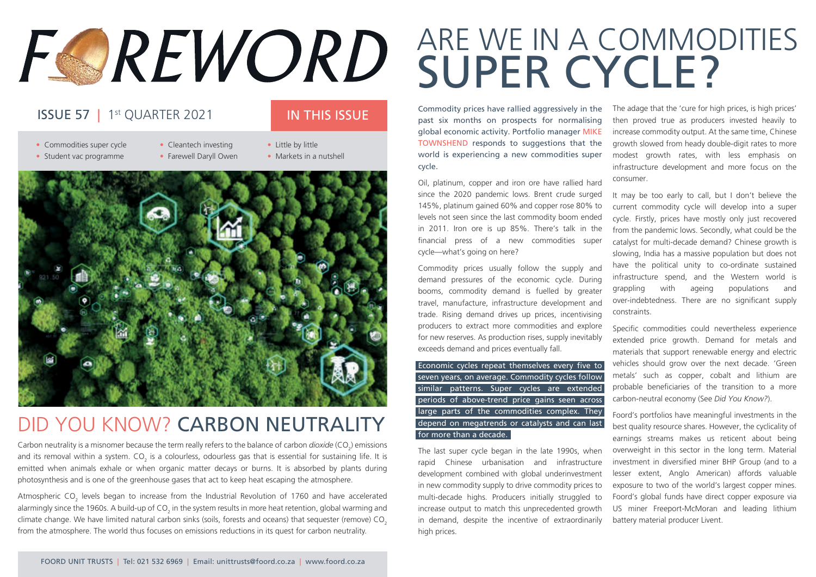# FOREWORD

### **ISSUE 57** | 1<sup>st</sup> QUARTER 2021 **IN THIS ISSUE**

- Commodities super cycle Cleantech investing Little by little • Student vac programme • Farewell Daryll Owen • Markets in a nutshell
	-
	-



### DID YOU KNOW? CARBON NEUTRALITY

Carbon neutrality is a misnomer because the term really refers to the balance of carbon *dioxide* (CO<sub>2</sub>) emissions and its removal within a system. CO<sub>2</sub> is a colourless, odourless gas that is essential for sustaining life. It is emitted when animals exhale or when organic matter decays or burns. It is absorbed by plants during photosynthesis and is one of the greenhouse gases that act to keep heat escaping the atmosphere.

Atmospheric CO<sub>2</sub> levels began to increase from the Industrial Revolution of 1760 and have accelerated alarmingly since the 1960s. A build-up of CO<sub>2</sub> in the system results in more heat retention, global warming and climate change. We have limited natural carbon sinks (soils, forests and oceans) that sequester (remove) CO<sub>3</sub> from the atmosphere. The world thus focuses on emissions reductions in its quest for carbon neutrality.

## ARE WE IN A COMMODITIES SUPER CYCLE?

Commodity prices have rallied aggressively in the past six months on prospects for normalising global economic activity. Portfolio manager MIKE TOWNSHEND responds to suggestions that the world is experiencing a new commodities super cycle.

Oil, platinum, copper and iron ore have rallied hard since the 2020 pandemic lows. Brent crude surged 145%, platinum gained 60% and copper rose 80% to levels not seen since the last commodity boom ended in 2011. Iron ore is up 85%. There's talk in the financial press of a new commodities super cycle—what's going on here?

Commodity prices usually follow the supply and demand pressures of the economic cycle. During booms, commodity demand is fuelled by greater travel, manufacture, infrastructure development and trade. Rising demand drives up prices, incentivising producers to extract more commodities and explore for new reserves. As production rises, supply inevitably exceeds demand and prices eventually fall.

Economic cycles repeat themselves every five to seven years, on average. Commodity cycles follow similar patterns. Super cycles are extended periods of above-trend price gains seen across large parts of the commodities complex. They depend on megatrends or catalysts and can last for more than a decade.

The last super cycle began in the late 1990s, when rapid Chinese urbanisation and infrastructure development combined with global underinvestment in new commodity supply to drive commodity prices to multi-decade highs. Producers initially struggled to increase output to match this unprecedented growth in demand, despite the incentive of extraordinarily high prices.

The adage that the 'cure for high prices, is high prices' then proved true as producers invested heavily to increase commodity output. At the same time, Chinese growth slowed from heady double-digit rates to more modest growth rates, with less emphasis on infrastructure development and more focus on the consumer.

It may be too early to call, but I don't believe the current commodity cycle will develop into a super cycle. Firstly, prices have mostly only just recovered from the pandemic lows. Secondly, what could be the catalyst for multi-decade demand? Chinese growth is slowing, India has a massive population but does not have the political unity to co-ordinate sustained infrastructure spend, and the Western world is grappling with ageing populations and over-indebtedness. There are no significant supply constraints.

Specific commodities could nevertheless experience extended price growth. Demand for metals and materials that support renewable energy and electric vehicles should grow over the next decade. 'Green metals' such as copper, cobalt and lithium are probable beneficiaries of the transition to a more carbon-neutral economy (See *Did You Know?*).

Foord's portfolios have meaningful investments in the best quality resource shares. However, the cyclicality of earnings streams makes us reticent about being overweight in this sector in the long term. Material investment in diversified miner BHP Group (and to a lesser extent, Anglo American) affords valuable exposure to two of the world's largest copper mines. Foord's global funds have direct copper exposure via US miner Freeport-McMoran and leading lithium battery material producer Livent.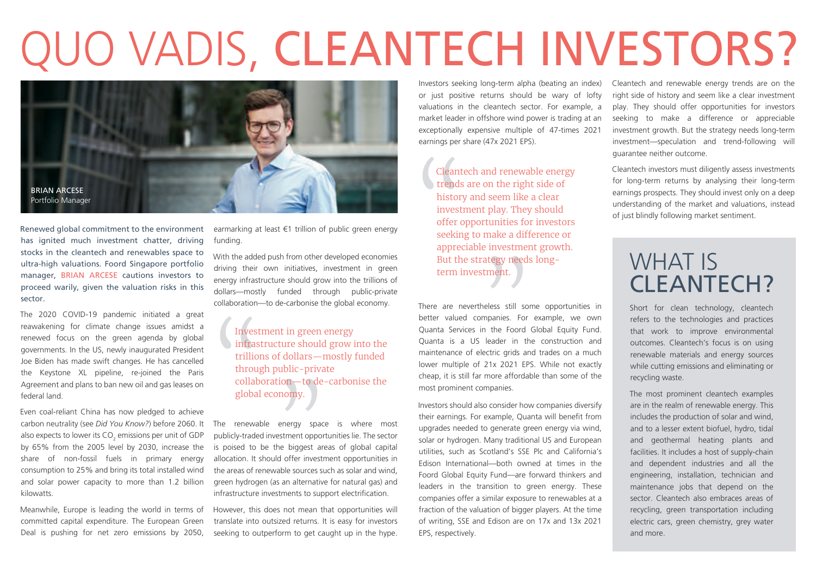## QUO VADIS, CLEANTECH INVESTORS?



Renewed global commitment to the environment has ignited much investment chatter, driving stocks in the cleantech and renewables space to ultra-high valuations. Foord Singapore portfolio manager, BRIAN ARCESE cautions investors to proceed warily, given the valuation risks in this sector.

The 2020 COVID-19 pandemic initiated a great reawakening for climate change issues amidst a renewed focus on the green agenda by global governments. In the US, newly inaugurated President Joe Biden has made swift changes. He has cancelled the Keystone XL pipeline, re-joined the Paris Agreement and plans to ban new oil and gas leases on federal land.

Even coal-reliant China has now pledged to achieve carbon neutrality (see *Did You Know?*) before 2060. It also expects to lower its CO<sub>2</sub> emissions per unit of GDP by 65% from the 2005 level by 2030, increase the share of non-fossil fuels in primary energy consumption to 25% and bring its total installed wind and solar power capacity to more than 1.2 billion kilowatts.

Meanwhile, Europe is leading the world in terms of committed capital expenditure. The European Green Deal is pushing for net zero emissions by 2050,

earmarking at least €1 trillion of public green energy funding.

With the added push from other developed economies driving their own initiatives, investment in green energy infrastructure should grow into the trillions of dollars—mostly funded through public-private collaboration—to de-carbonise the global economy.

> Investment in green energy infrastructure should grow into the trillions of dollars—mostly funded through public-private collaboration—to de-carbonise the global economy.

The renewable energy space is where most publicly-traded investment opportunities lie. The sector is poised to be the biggest areas of global capital allocation. It should offer investment opportunities in the areas of renewable sources such as solar and wind, green hydrogen (as an alternative for natural gas) and infrastructure investments to support electrification.

However, this does not mean that opportunities will translate into outsized returns. It is easy for investors seeking to outperform to get caught up in the hype.

Investors seeking long-term alpha (beating an index) or just positive returns should be wary of lofty valuations in the cleantech sector. For example, a market leader in offshore wind power is trading at an exceptionally expensive multiple of 47-times 2021 earnings per share (47x 2021 EPS).

Cleantech and renewable energy trends are on the right side of history and seem like a clear investment play. They should offer opportunities for investors seeking to make a difference or appreciable investment growth. But the strategy needs longterm investment.

There are nevertheless still some opportunities in better valued companies. For example, we own Quanta Services in the Foord Global Equity Fund. Quanta is a US leader in the construction and maintenance of electric grids and trades on a much lower multiple of 21x 2021 EPS. While not exactly cheap, it is still far more affordable than some of the most prominent companies.

Investors should also consider how companies diversify their earnings. For example, Quanta will benefit from upgrades needed to generate green energy via wind, solar or hydrogen. Many traditional US and European utilities, such as Scotland's SSE Plc and California's Edison International—both owned at times in the Foord Global Equity Fund—are forward thinkers and leaders in the transition to green energy. These companies offer a similar exposure to renewables at a fraction of the valuation of bigger players. At the time of writing, SSE and Edison are on 17x and 13x 2021 EPS, respectively.

Cleantech and renewable energy trends are on the right side of history and seem like a clear investment play. They should offer opportunities for investors seeking to make a difference or appreciable investment growth. But the strategy needs long-term investment—speculation and trend-following will guarantee neither outcome.

Cleantech investors must diligently assess investments for long-term returns by analysing their long-term earnings prospects. They should invest only on a deep understanding of the market and valuations, instead of just blindly following market sentiment.

## WHAT IS CLEANTECH?

Short for clean technology, cleantech refers to the technologies and practices that work to improve environmental outcomes. Cleantech's focus is on using renewable materials and energy sources while cutting emissions and eliminating or recycling waste.

The most prominent cleantech examples are in the realm of renewable energy. This includes the production of solar and wind, and to a lesser extent biofuel, hydro, tidal and geothermal heating plants and facilities. It includes a host of supply-chain and dependent industries and all the engineering, installation, technician and maintenance jobs that depend on the sector. Cleantech also embraces areas of recycling, green transportation including electric cars, green chemistry, grey water and more.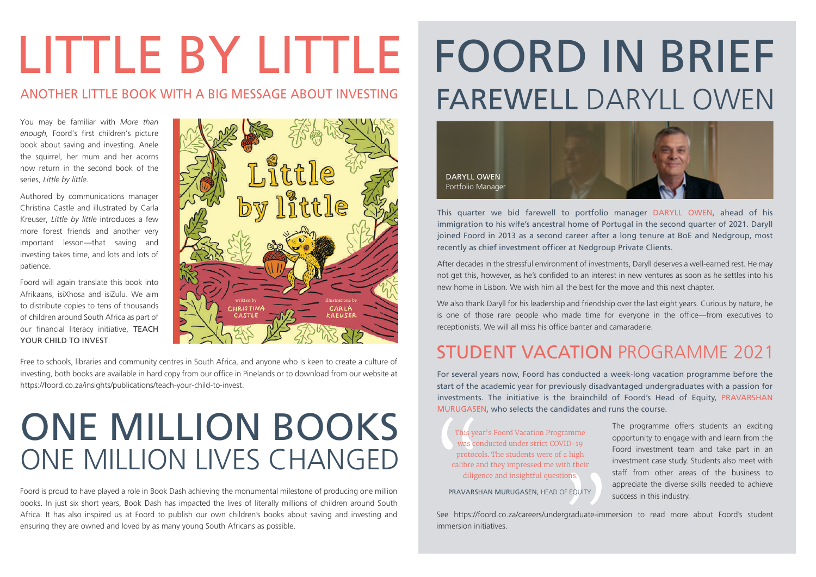# LITTLE BY LITTLE

#### ANOTHER LITTLE BOOK WITH A BIG MESSAGE ABOUT INVESTING

You may be familiar with *More than enough,* Foord's first children's picture book about saving and investing. Anele the squirrel, her mum and her acorns now return in the second book of the series, *Little by little.*

Authored by communications manager Christina Castle and illustrated by Carla Kreuser, *Little by little* introduces a few more forest friends and another very important lesson—that saving and investing takes time, and lots and lots of patience.

Foord will again translate this book into Afrikaans, isiXhosa and isiZulu. We aim to distribute copies to tens of thousands of children around South Africa as part of our financial literacy initiative, TEACH YOUR CHILD TO INVEST.



Free to schools, libraries and community centres in South Africa, and anyone who is keen to create a culture of investing, both books are available in hard copy from our office in Pinelands or to download from our website at https://foord.co.za/insights/publications/teach-your-child-to-invest.

## ONE MILLION BOOKS ONE MILLION LIVES CHANGED

Foord is proud to have played a role in Book Dash achieving the monumental milestone of producing one million books. In just six short years, Book Dash has impacted the lives of literally millions of children around South Africa. It has also inspired us at Foord to publish our own children's books about saving and investing and ensuring they are owned and loved by as many young South Africans as possible.

## FOORD IN BRIEF FAREWELL DARYLL OWEN



This quarter we bid farewell to portfolio manager DARYLL OWEN, ahead of his immigration to his wife's ancestral home of Portugal in the second quarter of 2021. Daryll joined Foord in 2013 as a second career after a long tenure at BoE and Nedgroup, most recently as chief investment officer at Nedgroup Private Clients.

After decades in the stressful environment of investments, Daryll deserves a well-earned rest. He may not get this, however, as he's confided to an interest in new ventures as soon as he settles into his new home in Lisbon. We wish him all the best for the move and this next chapter.

We also thank Daryll for his leadership and friendship over the last eight years. Curious by nature, he is one of those rare people who made time for everyone in the office—from executives to receptionists. We will all miss his office banter and camaraderie.

### STUDENT VACATION PROGRAMME 2021

For several years now, Foord has conducted a week-long vacation programme before the start of the academic year for previously disadvantaged undergraduates with a passion for investments. The initiative is the brainchild of Foord's Head of Equity, PRAVARSHAN MURUGASEN, who selects the candidates and runs the course.

This year's Foord Vacation Programme was conducted under strict COVID-19 protocols. The students were of a high calibre and they impressed me with their diligence and insightful questions.

PRAVARSHAN MURUGASEN, HEAD OF EQUITY

The programme offers students an exciting opportunity to engage with and learn from the Foord investment team and take part in an investment case study. Students also meet with staff from other areas of the business to appreciate the diverse skills needed to achieve success in this industry.

See https://foord.co.za/careers/undergraduate-immersion to read more about Foord's student immersion initiatives.